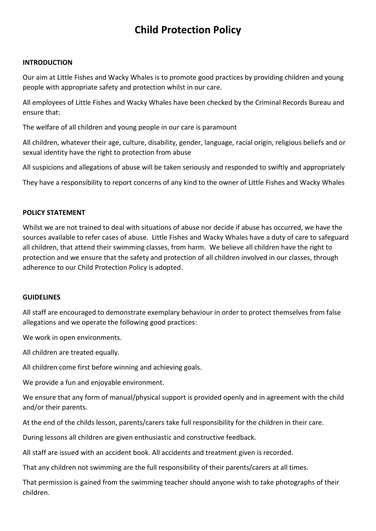# **Child Protection Policy**

### **INTRODUCTION**

Our aim at Little Fishes and Wacky Whales is to promote good practices by providing children and young people with appropriate safety and protection whilst in our care.

All employees of Little Fishes and Wacky Whales have been checked by the Criminal Records Bureau and ensure that:

The welfare of all children and young people in our care is paramount

All children, whatever their age, culture, disability, gender, language, racial origin, religious beliefs and or sexual identity have the right to protection from abuse

All suspicions and allegations of abuse will be taken seriously and responded to swiftly and appropriately

They have a responsibility to report concerns of any kind to the owner of Little Fishes and Wacky Whales

### **POLICY STATEMENT**

Whilst we are not trained to deal with situations of abuse nor decide if abuse has occurred, we have the sources available to refer cases of abuse. Little Fishes and Wacky Whales have a duty of care to safeguard all children, that attend their swimming classes, from harm. We believe all children have the right to protection and we ensure that the safety and protection of all children involved in our classes, through adherence to our Child Protection Policy is adopted.

### **GUIDELINES**

All staff are encouraged to demonstrate exemplary behaviour in order to protect themselves from false allegations and we operate the following good practices:

We work in open environments.

All children are treated equally.

All children come first before winning and achieving goals.

We provide a fun and enjoyable environment.

We ensure that any form of manual/physical support is provided openly and in agreement with the child and/or their parents.

At the end of the childs lesson, parents/carers take full responsibility for the children in their care.

During lessons all children are given enthusiastic and constructive feedback.

All staff are issued with an accident book. All accidents and treatment given is recorded.

That any children not swimming are the full responsibility of their parents/carers at all times.

That permission is gained from the swimming teacher should anyone wish to take photographs of their children.